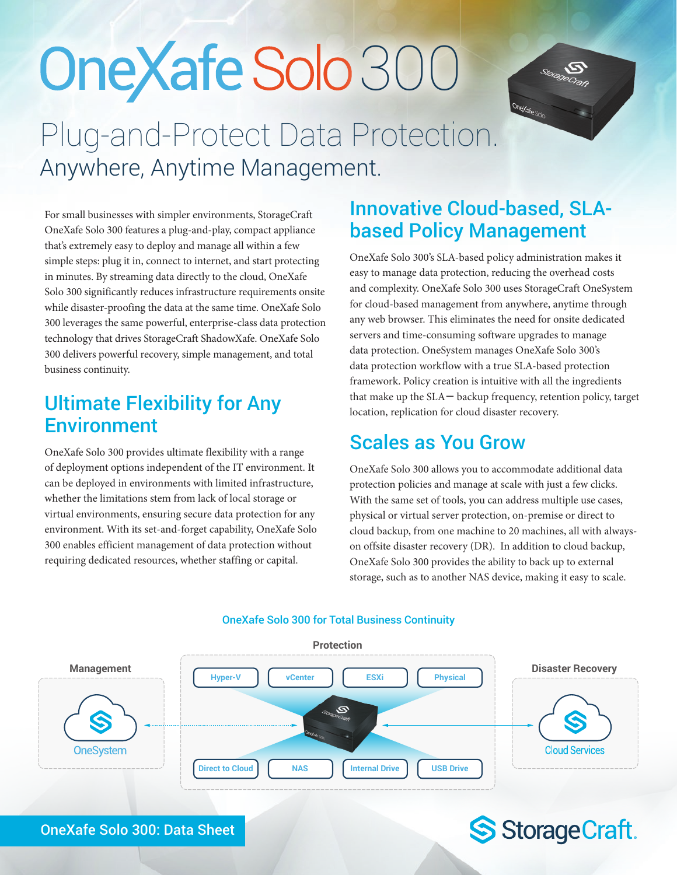# Plug-and-Protect Data Protection. OneXafe Solo 300



For small businesses with simpler environments, StorageCraft OneXafe Solo 300 features a plug-and-play, compact appliance that's extremely easy to deploy and manage all within a few simple steps: plug it in, connect to internet, and start protecting in minutes. By streaming data directly to the cloud, OneXafe Solo 300 significantly reduces infrastructure requirements onsite while disaster-proofing the data at the same time. OneXafe Solo 300 leverages the same powerful, enterprise-class data protection technology that drives StorageCraft ShadowXafe. OneXafe Solo 300 delivers powerful recovery, simple management, and total business continuity.

Anywhere, Anytime Management.

## Ultimate Flexibility for Any **Environment**

OneXafe Solo 300 provides ultimate flexibility with a range of deployment options independent of the IT environment. It can be deployed in environments with limited infrastructure, whether the limitations stem from lack of local storage or virtual environments, ensuring secure data protection for any environment. With its set-and-forget capability, OneXafe Solo 300 enables efficient management of data protection without requiring dedicated resources, whether staffing or capital.

## Innovative Cloud-based, SLAbased Policy Management

OneXafe Solo 300's SLA-based policy administration makes it easy to manage data protection, reducing the overhead costs and complexity. OneXafe Solo 300 uses StorageCraft OneSystem for cloud-based management from anywhere, anytime through any web browser. This eliminates the need for onsite dedicated servers and time-consuming software upgrades to manage data protection. OneSystem manages OneXafe Solo 300's data protection workflow with a true SLA-based protection framework. Policy creation is intuitive with all the ingredients that make up the SLA― backup frequency, retention policy, target location, replication for cloud disaster recovery.

## Scales as You Grow

OneXafe Solo 300 allows you to accommodate additional data protection policies and manage at scale with just a few clicks. With the same set of tools, you can address multiple use cases, physical or virtual server protection, on-premise or direct to cloud backup, from one machine to 20 machines, all with alwayson offsite disaster recovery (DR). In addition to cloud backup, OneXafe Solo 300 provides the ability to back up to external storage, such as to another NAS device, making it easy to scale.

S Storage Craft.



### OneXafe Solo 300 for Total Business Continuity

OneXafe Solo 300: Data Sheet